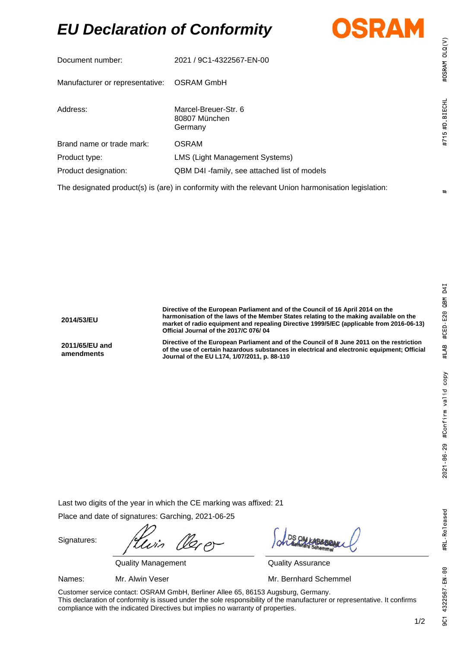## *EU Declaration of Conformity*



| Document number:                                                                                    | 2021 / 9C1-4322567-EN-00                         |
|-----------------------------------------------------------------------------------------------------|--------------------------------------------------|
| Manufacturer or representative:                                                                     | <b>OSRAM GmbH</b>                                |
| Address:                                                                                            | Marcel-Breuer-Str. 6<br>80807 München<br>Germany |
| Brand name or trade mark:                                                                           | OSRAM                                            |
| Product type:                                                                                       | LMS (Light Management Systems)                   |
| Product designation:                                                                                | QBM D4I -family, see attached list of models     |
| The designated product(s) is (are) in conformity with the relevant Union harmonisation legislation: |                                                  |

 $#$ 

#OSRAM OLQ(V)

#715 #D BIECHL

#RL-Released

9C1 4322567 EN 00

**2014/53/EU Directive of the European Parliament and of the Council of 16 April 2014 on the harmonisation of the laws of the Member States relating to the making available on the market of radio equipment and repealing Directive 1999/5/EC (applicable from 2016-06-13) Official Journal of the 2017/C 076/ 04 2011/65/EU and amendments Directive of the European Parliament and of the Council of 8 June 2011 on the restriction of the use of certain hazardous substances in electrical and electronic equipment; Official Journal of the EU L174, 1/07/2011, p. 88-110**

Last two digits of the year in which the CE marking was affixed: 21

Place and date of signatures: Garching, 2021-06-25

Signatures:

Quality Management Quality Assurance

Names: Mr. Alwin Veser Mr. Bernhard Schemmel

Customer service contact: OSRAM GmbH, Berliner Allee 65, 86153 Augsburg, Germany. This declaration of conformity is issued under the sole responsibility of the manufacturer or representative. It confirms compliance with the indicated Directives but implies no warranty of properties.